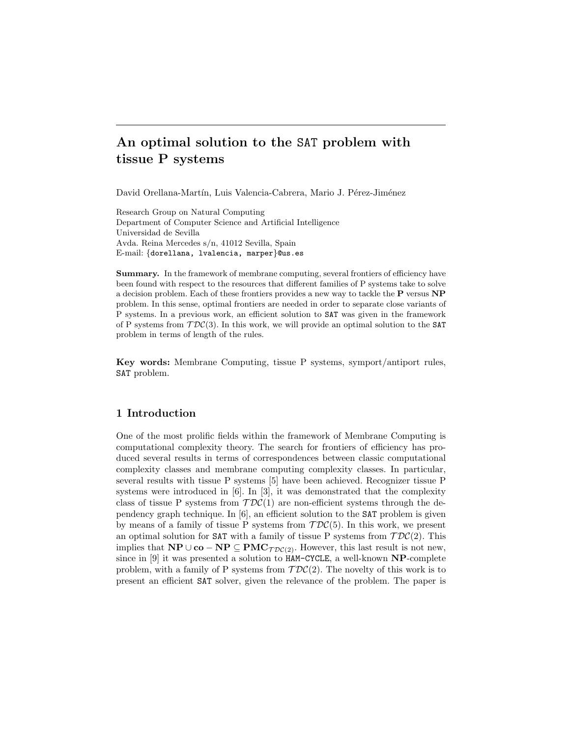# An optimal solution to the SAT problem with tissue P systems

David Orellana-Martín, Luis Valencia-Cabrera, Mario J. Pérez-Jiménez

Research Group on Natural Computing Department of Computer Science and Artificial Intelligence Universidad de Sevilla Avda. Reina Mercedes s/n, 41012 Sevilla, Spain E-mail: {dorellana, lvalencia, marper}@us.es

Summary. In the framework of membrane computing, several frontiers of efficiency have been found with respect to the resources that different families of P systems take to solve a decision problem. Each of these frontiers provides a new way to tackle the P versus NP problem. In this sense, optimal frontiers are needed in order to separate close variants of P systems. In a previous work, an efficient solution to SAT was given in the framework of P systems from  $\mathcal{TDC}(3)$ . In this work, we will provide an optimal solution to the SAT problem in terms of length of the rules.

Key words: Membrane Computing, tissue P systems, symport/antiport rules, SAT problem.

# 1 Introduction

One of the most prolific fields within the framework of Membrane Computing is computational complexity theory. The search for frontiers of efficiency has produced several results in terms of correspondences between classic computational complexity classes and membrane computing complexity classes. In particular, several results with tissue P systems [5] have been achieved. Recognizer tissue P systems were introduced in [6]. In [3], it was demonstrated that the complexity class of tissue P systems from  $\mathcal{TDC}(1)$  are non-efficient systems through the dependency graph technique. In [6], an efficient solution to the SAT problem is given by means of a family of tissue P systems from  $\mathcal{TDC}(5)$ . In this work, we present an optimal solution for SAT with a family of tissue P systems from  $TDC(2)$ . This implies that  $NP \cup co - NP \subseteq PMC_{\mathcal{TDC}(2)}$ . However, this last result is not new, since in  $[9]$  it was presented a solution to  $HAM-CYCLE$ , a well-known  $NP$ -complete problem, with a family of P systems from  $\mathcal{TDC}(2)$ . The novelty of this work is to present an efficient SAT solver, given the relevance of the problem. The paper is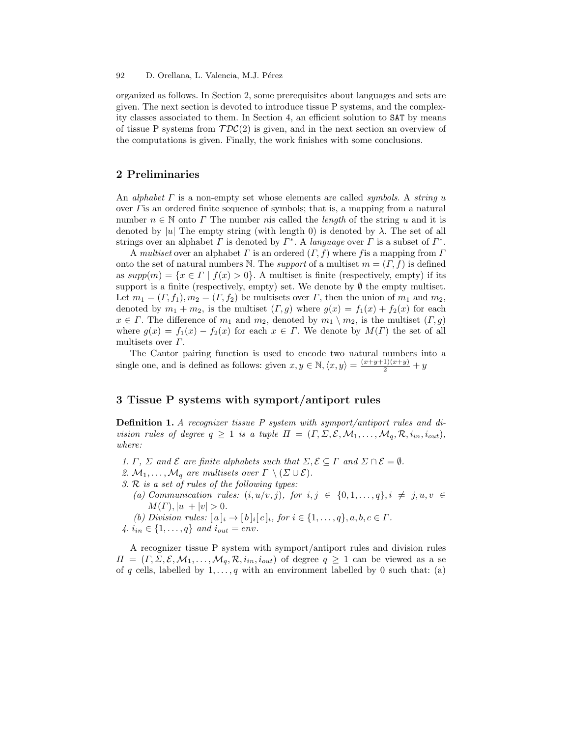organized as follows. In Section 2, some prerequisites about languages and sets are given. The next section is devoted to introduce tissue P systems, and the complexity classes associated to them. In Section 4, an efficient solution to SAT by means of tissue P systems from  $TDC(2)$  is given, and in the next section an overview of the computations is given. Finally, the work finishes with some conclusions.

## 2 Preliminaries

An alphabet  $\Gamma$  is a non-empty set whose elements are called symbols. A string u over Γis an ordered finite sequence of symbols; that is, a mapping from a natural number  $n \in \mathbb{N}$  onto  $\Gamma$  The number nis called the *length* of the string u and it is denoted by |u| The empty string (with length 0) is denoted by  $\lambda$ . The set of all strings over an alphabet  $\Gamma$  is denoted by  $\Gamma^*$ . A language over  $\Gamma$  is a subset of  $\Gamma^*$ .

A multiset over an alphabet  $\Gamma$  is an ordered  $(\Gamma, f)$  where f is a mapping from  $\Gamma$ onto the set of natural numbers N. The *support* of a multiset  $m = (\Gamma, f)$  is defined as  $supp(m) = \{x \in \Gamma \mid f(x) > 0\}$ . A multiset is finite (respectively, empty) if its support is a finite (respectively, empty) set. We denote by  $\emptyset$  the empty multiset. Let  $m_1 = (\Gamma, f_1), m_2 = (\Gamma, f_2)$  be multisets over  $\Gamma$ , then the union of  $m_1$  and  $m_2$ , denoted by  $m_1 + m_2$ , is the multiset  $(\Gamma, g)$  where  $g(x) = f_1(x) + f_2(x)$  for each  $x \in \Gamma$ . The difference of  $m_1$  and  $m_2$ , denoted by  $m_1 \setminus m_2$ , is the multiset  $(\Gamma, g)$ where  $g(x) = f_1(x) - f_2(x)$  for each  $x \in \Gamma$ . We denote by  $M(\Gamma)$  the set of all multisets over  $\Gamma$ .

The Cantor pairing function is used to encode two natural numbers into a single one, and is defined as follows: given  $x, y \in \mathbb{N}, \langle x, y \rangle = \frac{(x+y+1)(x+y)}{2} + y$ 

## 3 Tissue P systems with symport/antiport rules

Definition 1. A recognizer tissue P system with symport/antiport rules and division rules of degree  $q \ge 1$  is a tuple  $\Pi = (\Gamma, \Sigma, \mathcal{E}, \mathcal{M}_1, \ldots, \mathcal{M}_q, \mathcal{R}, i_{in}, i_{out}),$ where:

- 1. Γ, Σ and  $\mathcal E$  are finite alphabets such that  $\Sigma, \mathcal E \subseteq \Gamma$  and  $\Sigma \cap \mathcal E = \emptyset$ .
- 2.  $M_1, \ldots, M_q$  are multisets over  $\Gamma \setminus (\Sigma \cup \mathcal{E})$ .
- 3. R is a set of rules of the following types:
	- (a) Communication rules:  $(i, u/v, j)$ , for  $i, j \in \{0, 1, \ldots, q\}, i \neq j, u, v \in$  $M(\Gamma), |u| + |v| > 0.$
- (b) Division rules:  $[a]_i \rightarrow [b]_i[c]_i$ , for  $i \in \{1, ..., q\}, a, b, c \in \Gamma$ . 4.  $i_{in} \in \{1, ..., q\}$  and  $i_{out} = env$ .

A recognizer tissue P system with symport/antiport rules and division rules  $\Pi = (\Gamma, \Sigma, \mathcal{E}, \mathcal{M}_1, \ldots, \mathcal{M}_q, \mathcal{R}, i_{in}, i_{out})$  of degree  $q \geq 1$  can be viewed as a se of q cells, labelled by  $1, \ldots, q$  with an environment labelled by 0 such that: (a)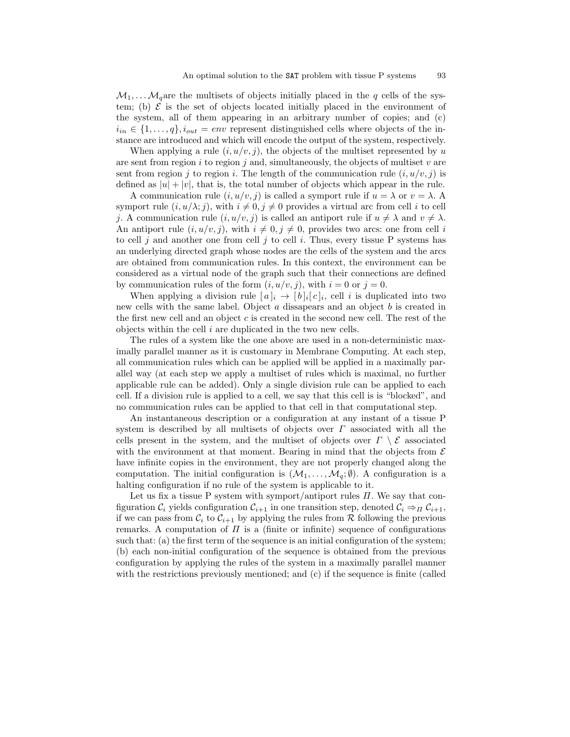$\mathcal{M}_1, \ldots, \mathcal{M}_q$  are the multisets of objects initially placed in the q cells of the system; (b)  $\mathcal E$  is the set of objects located initially placed in the environment of the system, all of them appearing in an arbitrary number of copies; and (c)  $i_{in} \in \{1, \ldots, q\}, i_{out} = env$  represent distinguished cells where objects of the instance are introduced and which will encode the output of the system, respectively.

When applying a rule  $(i, u/v, j)$ , the objects of the multiset represented by u are sent from region  $i$  to region  $j$  and, simultaneously, the objects of multiset  $v$  are sent from region j to region i. The length of the communication rule  $(i, u/v, j)$  is defined as  $|u| + |v|$ , that is, the total number of objects which appear in the rule.

A communication rule  $(i, u/v, j)$  is called a symport rule if  $u = \lambda$  or  $v = \lambda$ . symport rule  $(i, u/\lambda; j)$ , with  $i \neq 0, j \neq 0$  provides a virtual arc from cell i to cell j. A communication rule  $(i, u/v, j)$  is called an antiport rule if  $u \neq \lambda$  and  $v \neq \lambda$ . An antiport rule  $(i, u/v, j)$ , with  $i \neq 0, j \neq 0$ , provides two arcs: one from cell i to cell j and another one from cell j to cell i. Thus, every tissue P systems has an underlying directed graph whose nodes are the cells of the system and the arcs are obtained from communication rules. In this context, the environment can be considered as a virtual node of the graph such that their connections are defined by communication rules of the form  $(i, u/v, j)$ , with  $i = 0$  or  $j = 0$ .

When applying a division rule  $[a]_i \to [b]_i[c]_i$ , cell i is duplicated into two new cells with the same label. Object  $a$  dissapears and an object  $b$  is created in the first new cell and an object  $c$  is created in the second new cell. The rest of the objects within the cell  $i$  are duplicated in the two new cells.

The rules of a system like the one above are used in a non-deterministic maximally parallel manner as it is customary in Membrane Computing. At each step, all communication rules which can be applied will be applied in a maximally parallel way (at each step we apply a multiset of rules which is maximal, no further applicable rule can be added). Only a single division rule can be applied to each cell. If a division rule is applied to a cell, we say that this cell is is "blocked", and no communication rules can be applied to that cell in that computational step.

An instantaneous description or a configuration at any instant of a tissue P system is described by all multisets of objects over  $\Gamma$  associated with all the cells present in the system, and the multiset of objects over  $\Gamma \setminus \mathcal{E}$  associated with the environment at that moment. Bearing in mind that the objects from  $\mathcal E$ have infinite copies in the environment, they are not properly changed along the computation. The initial configuration is  $(\mathcal{M}_1, \ldots, \mathcal{M}_q; \emptyset)$ . A configuration is a halting configuration if no rule of the system is applicable to it.

Let us fix a tissue P system with symport/antiport rules  $\Pi$ . We say that configuration  $C_i$  yields configuration  $C_{i+1}$  in one transition step, denoted  $C_i \Rightarrow_{\Pi} C_{i+1}$ , if we can pass from  $C_i$  to  $C_{i+1}$  by applying the rules from R following the previous remarks. A computation of  $\Pi$  is a (finite or infinite) sequence of configurations such that: (a) the first term of the sequence is an initial configuration of the system; (b) each non-initial configuration of the sequence is obtained from the previous configuration by applying the rules of the system in a maximally parallel manner with the restrictions previously mentioned; and (c) if the sequence is finite (called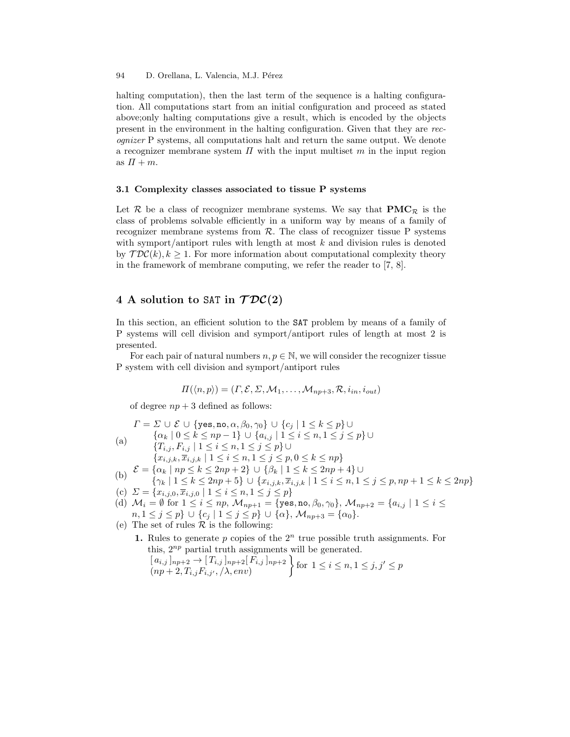94 D. Orellana, L. Valencia, M.J. Pérez

halting computation), then the last term of the sequence is a halting configuration. All computations start from an initial configuration and proceed as stated above;only halting computations give a result, which is encoded by the objects present in the environment in the halting configuration. Given that they are recognizer P systems, all computations halt and return the same output. We denote a recognizer membrane system  $\Pi$  with the input multiset  $m$  in the input region as  $\Pi + m$ .

#### 3.1 Complexity classes associated to tissue P systems

Let  $\mathcal R$  be a class of recognizer membrane systems. We say that  $\mathbf{PMC}_{\mathcal R}$  is the class of problems solvable efficiently in a uniform way by means of a family of recognizer membrane systems from  $R$ . The class of recognizer tissue P systems with symport/antiport rules with length at most  $k$  and division rules is denoted by  $\mathcal{TDC}(k), k \geq 1$ . For more information about computational complexity theory in the framework of membrane computing, we refer the reader to [7, 8].

# 4 A solution to SAT in  $\mathcal{TDC}(2)$

In this section, an efficient solution to the SAT problem by means of a family of P systems will cell division and symport/antiport rules of length at most 2 is presented.

For each pair of natural numbers  $n, p \in \mathbb{N}$ , we will consider the recognizer tissue P system with cell division and symport/antiport rules

$$
\Pi(\langle n,p \rangle) = (\Gamma, \mathcal{E}, \Sigma, \mathcal{M}_1, \dots, \mathcal{M}_{np+3}, \mathcal{R}, i_{in}, i_{out})
$$

of degree  $np + 3$  defined as follows:

$$
\Gamma = \Sigma \cup \mathcal{E} \cup \{\text{yes, no, } \alpha, \beta_0, \gamma_0\} \cup \{c_j \mid 1 \le k \le p\} \cup
$$
\n(a)\n
$$
\{ \alpha_k \mid 0 \le k \le np - 1 \} \cup \{ a_{i,j} \mid 1 \le i \le n, 1 \le j \le p \} \cup
$$
\n
$$
\{ T_{i,j}, F_{i,j} \mid 1 \le i \le n, 1 \le j \le p \} \cup
$$
\n
$$
\{ x_{i,j,k}, \overline{x}_{i,j,k} \mid 1 \le i \le n, 1 \le j \le p, 0 \le k \le np \}
$$
\n(b)\n
$$
\mathcal{E} = \{ \alpha_k \mid np \le k \le 2np + 2 \} \cup \{ \beta_k \mid 1 \le k \le 2np + 4 \} \cup
$$
\n
$$
\{ \gamma_k \mid 1 \le k \le 2np + 5 \} \cup \{ x_{i,j,k}, \overline{x}_{i,j,k} \mid 1 \le i \le n, 1 \le j \le p, np + 1 \le k \le 2np \}
$$
\n(c)\n
$$
\Sigma = \{ x_{i,j,0}, \overline{x}_{i,j,0} \mid 1 \le i \le n, 1 \le j \le p \}
$$
\n(d)\n
$$
\mathcal{M}_i = \emptyset \text{ for } 1 \le i \le np, \mathcal{M}_{np+1} = \{ \text{yes, no, } \beta_0, \gamma_0 \}, \mathcal{M}_{np+2} = \{ a_{i,j} \mid 1 \le i \le n, 1 \le j \le p \} \cup \{ c_j \mid 1 \le j \le p \} \cup \{ \alpha \}, \mathcal{M}_{np+3} = \{ \alpha_0 \}.
$$
\n(e)\nThe set of rules  $\mathcal{R}$  is the following:

1. Rules to generate p copies of the  $2^n$  true possible truth assignments. For this,  $2^{np}$  partial truth assignments will be generated.  $[a_{i,j}]_{np+2} \rightarrow [T_{i,j}]_{np+2}[F_{i,j}]_{np+2}$  $(np+2, T_{i,j}F_{i,j'}, / \lambda, env)$  $\left\{\n \begin{array}{l}\n \text{for } 1 \leq i \leq n, 1 \leq j, j' \leq p\n \end{array}\n\right\}$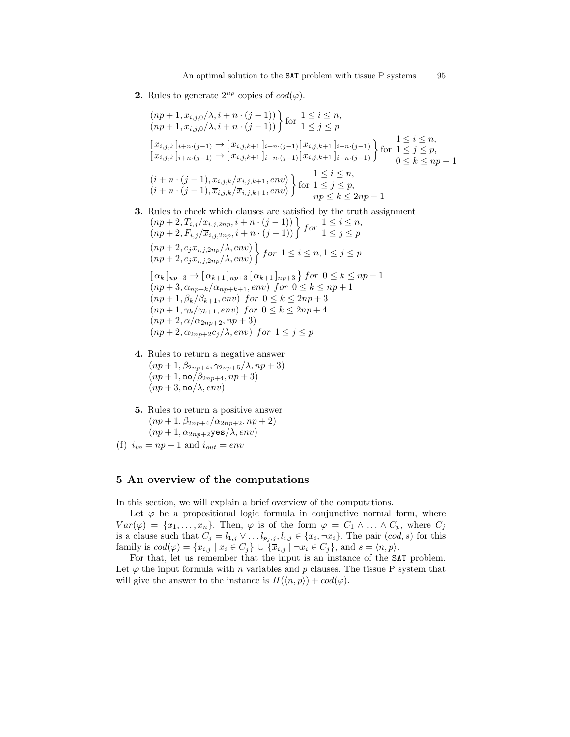**2.** Rules to generate  $2^{np}$  copies of  $cod(\varphi)$ .

$$
(np + 1, x_{i,j,0}/\lambda, i + n \cdot (j - 1))
$$
  
\n
$$
(np + 1, \overline{x}_{i,j,0}/\lambda, i + n \cdot (j - 1))
$$
  
\nfor  $1 \leq j \leq p$   
\n
$$
[x_{i,j,k}]_{i+n \cdot (j-1)} \to [x_{i,j,k+1}]_{i+n \cdot (j-1)} [x_{i,j,k+1}]_{i+n \cdot (j-1)}
$$
  
\n
$$
[x_{i,j,k}]_{i+n \cdot (j-1)} \to [\overline{x}_{i,j,k+1}]_{i+n \cdot (j-1)} [\overline{x}_{i,j,k+1}]_{i+n \cdot (j-1)} \}
$$
  
\nfor  $1 \leq j \leq p$ ,  
\n
$$
(i + n \cdot (j - 1), x_{i,j,k}/x_{i,j,k+1}, env)
$$
  
\nfor  $1 \leq j \leq p$ ,  
\n
$$
(i + n \cdot (j - 1), \overline{x}_{i,j,k}/\overline{x}_{i,j,k+1}, env)
$$
  
\nfor  $1 \leq j \leq p$ ,  
\n
$$
np \leq k \leq 2np - 1
$$

- 3. Rules to check which clauses are satisfied by the truth assignment
	- $(np+2, T_{i,j}/x_{i,j,2np}, i+n\cdot (j-1))$   $\}$  for  $1 \leq i \leq n$ ,<br>  $(np+2, F_{i,j}/\overline{x}_{i,j,2np}, i+n\cdot (j-1))$   $\}$  for  $1 \leq j \leq p$  $(np+2, c_jx_{i,j,2np}/\lambda, env)$  $(np+2, c_j\overline{x}_{i,j,2np}/\lambda, env)$  $\left\{ \begin{array}{c} f \text{or} \ \ 1 \leq i \leq n, 1 \leq j \leq p \end{array} \right.$  $\left[ \alpha_k \right]_{np+3} \to \left[ \alpha_{k+1} \right]_{np+3} \left[ \alpha_{k+1} \right]_{np+3} \; for \; 0 \leq k \leq np-1$  $(np+3, \alpha_{np+k}/\alpha_{np+k+1}, env)$  for  $0 \leq k \leq np+1$  $(np + 1, \beta_k/\beta_{k+1}, env)$  for  $0 \le k \le 2np + 3$  $(np+1, \gamma_k/\gamma_{k+1}, env)$  for  $0 \leq k \leq 2np+4$  $(np+2, \alpha/\alpha_{2np+2}, np+3)$  $(np+2, \alpha_{2np+2}c_j/\lambda, env)$  for  $1 \leq j \leq p$
- 4. Rules to return a negative answer  $(np+1, \beta_{2np+4}, \gamma_{2np+5}/\lambda, np+3)$  $(np+1, no/\beta_{2np+4}, np+3)$  $(np+3, \text{no}/\lambda, env)$
- 5. Rules to return a positive answer  $(np+1, \beta_{2np+4}/\alpha_{2np+2}, np+2)$  $(np+1, \alpha_{2np+2}$ yes $(\lambda, env)$
- (f)  $i_{in} = np + 1$  and  $i_{out} = env$

# 5 An overview of the computations

In this section, we will explain a brief overview of the computations.

Let  $\varphi$  be a propositional logic formula in conjunctive normal form, where  $Var(\varphi) = \{x_1, \ldots, x_n\}.$  Then,  $\varphi$  is of the form  $\varphi = C_1 \wedge \ldots \wedge C_p$ , where  $C_j$ is a clause such that  $C_j = l_{1,j} \vee \ldots l_{p_j,j}, l_{i,j} \in \{x_i, \neg x_i\}$ . The pair  $(cod, s)$  for this family is  $cod(\varphi) = \{x_{i,j} \mid x_i \in C_j\} \cup \{\overline{x}_{i,j} \mid \neg x_i \in C_j\}$ , and  $s = \langle n, p \rangle$ .

For that, let us remember that the input is an instance of the SAT problem. Let  $\varphi$  the input formula with n variables and p clauses. The tissue P system that will give the answer to the instance is  $\Pi(\langle n, p \rangle) + cod(\varphi)$ .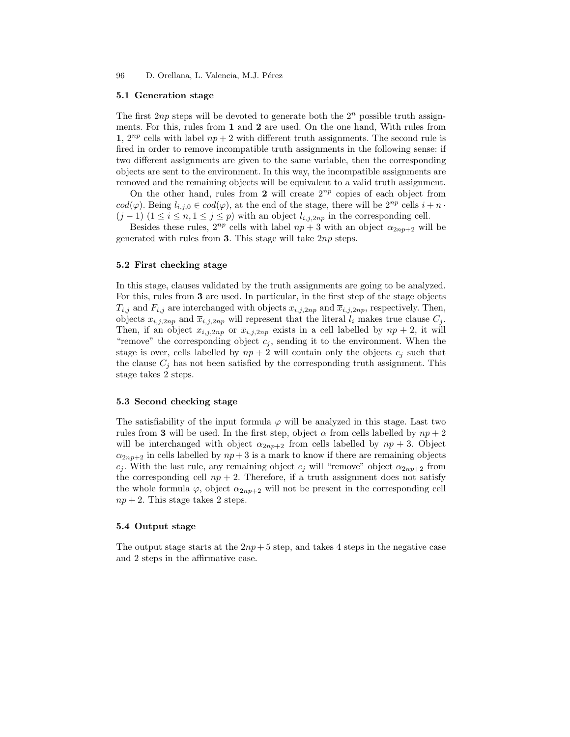96 D. Orellana, L. Valencia, M.J. Pérez

#### 5.1 Generation stage

The first 2np steps will be devoted to generate both the  $2^n$  possible truth assignments. For this, rules from 1 and 2 are used. On the one hand, With rules from 1,  $2^{np}$  cells with label  $np + 2$  with different truth assignments. The second rule is fired in order to remove incompatible truth assignments in the following sense: if two different assignments are given to the same variable, then the corresponding objects are sent to the environment. In this way, the incompatible assignments are removed and the remaining objects will be equivalent to a valid truth assignment.

On the other hand, rules from 2 will create  $2^{np}$  copies of each object from  $cod(\varphi)$ . Being  $l_{i,i,0} \in cod(\varphi)$ , at the end of the stage, there will be  $2^{np}$  cells  $i + n \cdot$  $(j-1)$   $(1 \leq i \leq n, 1 \leq j \leq p)$  with an object  $l_{i,j,2np}$  in the corresponding cell.

Besides these rules,  $2^{np}$  cells with label  $np+3$  with an object  $\alpha_{2np+2}$  will be generated with rules from 3. This stage will take  $2np$  steps.

#### 5.2 First checking stage

In this stage, clauses validated by the truth assignments are going to be analyzed. For this, rules from 3 are used. In particular, in the first step of the stage objects  $T_{i,j}$  and  $F_{i,j}$  are interchanged with objects  $x_{i,j,2np}$  and  $\overline{x}_{i,j,2np}$ , respectively. Then, objects  $x_{i,j,2np}$  and  $\overline{x}_{i,j,2np}$  will represent that the literal  $l_i$  makes true clause  $C_j$ . Then, if an object  $x_{i,j,2np}$  or  $\overline{x}_{i,j,2np}$  exists in a cell labelled by  $np+2$ , it will "remove" the corresponding object  $c_j$ , sending it to the environment. When the stage is over, cells labelled by  $np + 2$  will contain only the objects  $c_j$  such that the clause  $C_i$  has not been satisfied by the corresponding truth assignment. This stage takes 2 steps.

#### 5.3 Second checking stage

The satisfiability of the input formula  $\varphi$  will be analyzed in this stage. Last two rules from 3 will be used. In the first step, object  $\alpha$  from cells labelled by  $np + 2$ will be interchanged with object  $\alpha_{2np+2}$  from cells labelled by  $np + 3$ . Object  $\alpha_{2np+2}$  in cells labelled by  $np+3$  is a mark to know if there are remaining objects  $c_j$ . With the last rule, any remaining object  $c_j$  will "remove" object  $\alpha_{2np+2}$  from the corresponding cell  $np + 2$ . Therefore, if a truth assignment does not satisfy the whole formula  $\varphi$ , object  $\alpha_{2np+2}$  will not be present in the corresponding cell  $np + 2$ . This stage takes 2 steps.

#### 5.4 Output stage

The output stage starts at the  $2np+5$  step, and takes 4 steps in the negative case and 2 steps in the affirmative case.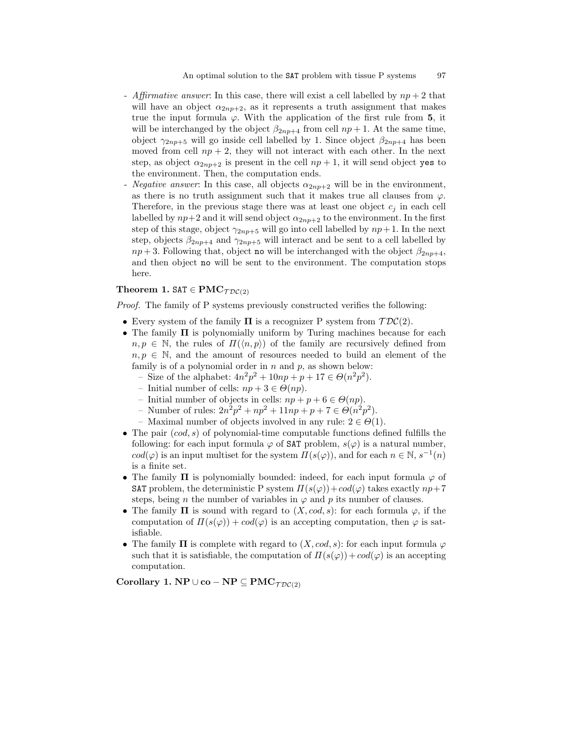- Affirmative answer: In this case, there will exist a cell labelled by  $np+2$  that will have an object  $\alpha_{2np+2}$ , as it represents a truth assignment that makes true the input formula  $\varphi$ . With the application of the first rule from 5, it will be interchanged by the object  $\beta_{2np+4}$  from cell  $np+1$ . At the same time, object  $\gamma_{2np+5}$  will go inside cell labelled by 1. Since object  $\beta_{2np+4}$  has been moved from cell  $np + 2$ , they will not interact with each other. In the next step, as object  $\alpha_{2np+2}$  is present in the cell  $np+1$ , it will send object yes to the environment. Then, the computation ends.
- *Negative answer*: In this case, all objects  $\alpha_{2np+2}$  will be in the environment, as there is no truth assignment such that it makes true all clauses from  $\varphi$ . Therefore, in the previous stage there was at least one object  $c_i$  in each cell labelled by  $np+2$  and it will send object  $\alpha_{2np+2}$  to the environment. In the first step of this stage, object  $\gamma_{2np+5}$  will go into cell labelled by  $np+1$ . In the next step, objects  $\beta_{2np+4}$  and  $\gamma_{2np+5}$  will interact and be sent to a cell labelled by  $np+3$ . Following that, object no will be interchanged with the object  $\beta_{2nn+4}$ , and then object no will be sent to the environment. The computation stops here.

#### Theorem 1. SAT  $\in \text{PMC}_{\mathcal{TDC}(2)}$

Proof. The family of P systems previously constructed verifies the following:

- Every system of the family  $\Pi$  is a recognizer P system from  $\mathcal{TDC}(2)$ .
- The family Π is polynomially uniform by Turing machines because for each  $n, p \in \mathbb{N}$ , the rules of  $\Pi(\langle n, p \rangle)$  of the family are recursively defined from  $n, p \in \mathbb{N}$ , and the amount of resources needed to build an element of the family is of a polynomial order in  $n$  and  $p$ , as shown below:
	- Size of the alphabet:  $4n^2p^2 + 10np + p + 17 \in \Theta(n^2p^2)$ .
	- Initial number of cells:  $np + 3 \in \Theta(np)$ .
	- Initial number of objects in cells:  $np + p + 6 \in \Theta(np)$ .
	- Number of rules:  $2n^2p^2 + np^2 + 11np + p + 7 \in \Theta(n^2p^2)$ .
	- Maximal number of objects involved in any rule:  $2 \in \Theta(1)$ .
- The pair  $(cod, s)$  of polynomial-time computable functions defined fulfills the following: for each input formula  $\varphi$  of SAT problem,  $s(\varphi)$  is a natural number,  $cod(\varphi)$  is an input multiset for the system  $\Pi(s(\varphi))$ , and for each  $n \in \mathbb{N}$ ,  $s^{-1}(n)$ is a finite set.
- The family  $\Pi$  is polynomially bounded: indeed, for each input formula  $\varphi$  of **SAT** problem, the deterministic P system  $\Pi(s(\varphi)) + cod(\varphi)$  takes exactly  $np+7$ steps, being n the number of variables in  $\varphi$  and p its number of clauses.
- The family  $\Pi$  is sound with regard to  $(X, cod, s)$ : for each formula  $\varphi$ , if the computation of  $\Pi(s(\varphi)) + cod(\varphi)$  is an accepting computation, then  $\varphi$  is satisfiable.
- The family  $\Pi$  is complete with regard to  $(X, cod, s)$ : for each input formula  $\varphi$ such that it is satisfiable, the computation of  $\Pi(s(\varphi)) + cod(\varphi)$  is an accepting computation.

Corollary 1. NP  $\cup$  co – NP  $\subseteq$  PMC $_{\mathcal{TDC}(2)}$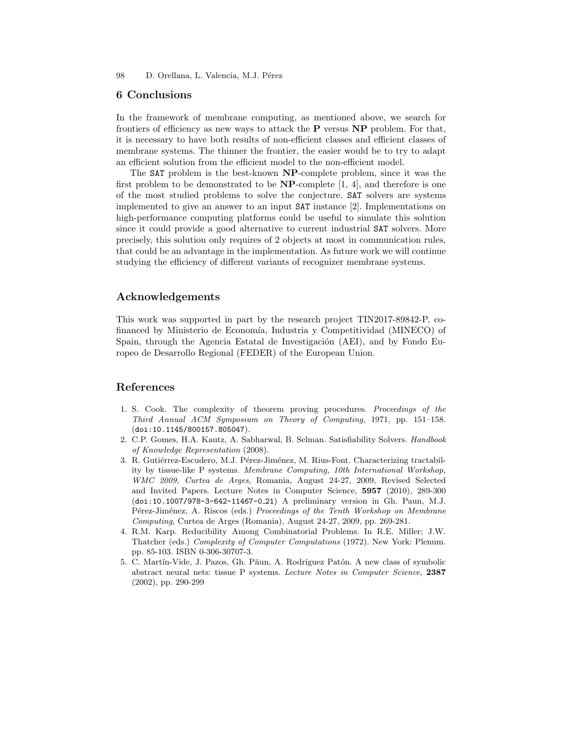98 D. Orellana, L. Valencia, M.J. Pérez

### 6 Conclusions

In the framework of membrane computing, as mentioned above, we search for frontiers of efficiency as new ways to attack the  $P$  versus  $NP$  problem. For that, it is necessary to have both results of non-efficient classes and efficient classes of membrane systems. The thinner the frontier, the easier would be to try to adapt an efficient solution from the efficient model to the non-efficient model.

The SAT problem is the best-known NP-complete problem, since it was the first problem to be demonstrated to be  $NP$ -complete [1, 4], and therefore is one of the most studied problems to solve the conjecture. SAT solvers are systems implemented to give an answer to an input SAT instance [2]. Implementations on high-performance computing platforms could be useful to simulate this solution since it could provide a good alternative to current industrial SAT solvers. More precisely, this solution only requires of 2 objects at most in communication rules, that could be an advantage in the implementation. As future work we will continue studying the efficiency of different variants of recognizer membrane systems.

## Acknowledgements

This work was supported in part by the research project TIN2017-89842-P, cofinanced by Ministerio de Economía, Industria y Competitividad (MINECO) of Spain, through the Agencia Estatal de Investigación (AEI), and by Fondo Europeo de Desarrollo Regional (FEDER) of the European Union.

## References

- 1. S. Cook. The complexity of theorem proving procedures. Proceedings of the Third Annual ACM Symposium on Theory of Computing, 1971, pp. 151–158. (doi:10.1145/800157.805047).
- 2. C.P. Gomes, H.A. Kautz, A. Sabharwal, B. Selman. Satisfiability Solvers. Handbook of Knowledge Representation (2008).
- 3. R. Gutiérrez-Escudero, M.J. Pérez-Jiménez, M. Rius-Font. Characterizing tractability by tissue-like P systems. Membrane Computing, 10th International Workshop, WMC 2009, Curtea de Arges, Romania, August 24-27, 2009, Revised Selected and Invited Papers. Lecture Notes in Computer Science, 5957 (2010), 289-300 (doi:10.1007/978-3-642-11467-0 21) A preliminary version in Gh. Paun, M.J. Pérez-Jiménez, A. Riscos (eds.) Proceedings of the Tenth Workshop on Membrane Computing, Curtea de Arges (Romania), August 24-27, 2009, pp. 269-281.
- 4. R.M. Karp. Reducibility Among Combinatorial Problems. In R.E. Miller; J.W. Thatcher (eds.) Complexity of Computer Computations (1972). New York: Plenum. pp. 85-103. ISBN 0-306-30707-3.
- 5. C. Martín-Vide, J. Pazos, Gh. Păun, A. Rodríguez Patón. A new class of symbolic abstract neural nets: tissue P systems. Lecture Notes in Computer Science, 2387 (2002), pp. 290-299